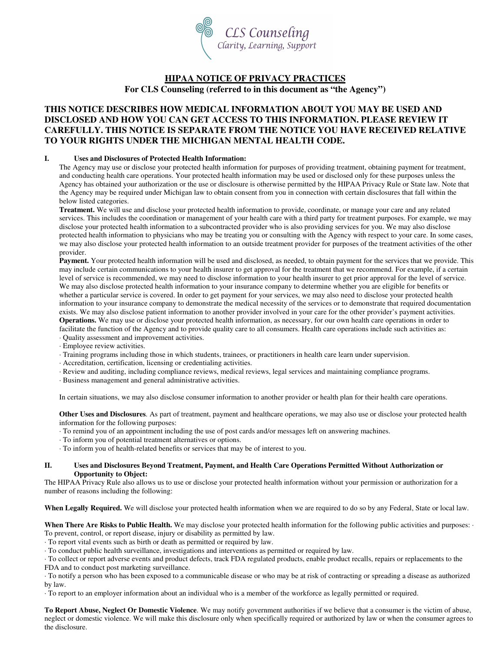

# **HIPAA NOTICE OF PRIVACY PRACTICES**

**For CLS Counseling (referred to in this document as "the Agency")** 

## **THIS NOTICE DESCRIBES HOW MEDICAL INFORMATION ABOUT YOU MAY BE USED AND DISCLOSED AND HOW YOU CAN GET ACCESS TO THIS INFORMATION. PLEASE REVIEW IT CAREFULLY. THIS NOTICE IS SEPARATE FROM THE NOTICE YOU HAVE RECEIVED RELATIVE TO YOUR RIGHTS UNDER THE MICHIGAN MENTAL HEALTH CODE.**

## **I. Uses and Disclosures of Protected Health Information:**

The Agency may use or disclose your protected health information for purposes of providing treatment, obtaining payment for treatment, and conducting health care operations. Your protected health information may be used or disclosed only for these purposes unless the Agency has obtained your authorization or the use or disclosure is otherwise permitted by the HIPAA Privacy Rule or State law. Note that the Agency may be required under Michigan law to obtain consent from you in connection with certain disclosures that fall within the below listed categories.

**Treatment.** We will use and disclose your protected health information to provide, coordinate, or manage your care and any related services. This includes the coordination or management of your health care with a third party for treatment purposes. For example, we may disclose your protected health information to a subcontracted provider who is also providing services for you. We may also disclose protected health information to physicians who may be treating you or consulting with the Agency with respect to your care. In some cases, we may also disclose your protected health information to an outside treatment provider for purposes of the treatment activities of the other provider.

**Payment.** Your protected health information will be used and disclosed, as needed, to obtain payment for the services that we provide. This may include certain communications to your health insurer to get approval for the treatment that we recommend. For example, if a certain level of service is recommended, we may need to disclose information to your health insurer to get prior approval for the level of service. We may also disclose protected health information to your insurance company to determine whether you are eligible for benefits or whether a particular service is covered. In order to get payment for your services, we may also need to disclose your protected health information to your insurance company to demonstrate the medical necessity of the services or to demonstrate that required documentation exists. We may also disclose patient information to another provider involved in your care for the other provider's payment activities.

**Operations.** We may use or disclose your protected health information, as necessary, for our own health care operations in order to facilitate the function of the Agency and to provide quality care to all consumers. Health care operations include such activities as:

- · Quality assessment and improvement activities.
- · Employee review activities.
- · Training programs including those in which students, trainees, or practitioners in health care learn under supervision.
- · Accreditation, certification, licensing or credentialing activities.
- · Review and auditing, including compliance reviews, medical reviews, legal services and maintaining compliance programs.
- · Business management and general administrative activities.

In certain situations, we may also disclose consumer information to another provider or health plan for their health care operations.

**Other Uses and Disclosures**. As part of treatment, payment and healthcare operations, we may also use or disclose your protected health information for the following purposes:

- · To remind you of an appointment including the use of post cards and/or messages left on answering machines.
- · To inform you of potential treatment alternatives or options.
- · To inform you of health-related benefits or services that may be of interest to you.

### **II. Uses and Disclosures Beyond Treatment, Payment, and Health Care Operations Permitted Without Authorization or Opportunity to Object:**

The HIPAA Privacy Rule also allows us to use or disclose your protected health information without your permission or authorization for a number of reasons including the following:

**When Legally Required.** We will disclose your protected health information when we are required to do so by any Federal, State or local law.

When There Are Risks to Public Health. We may disclose your protected health information for the following public activities and purposes: · To prevent, control, or report disease, injury or disability as permitted by law.

· To report vital events such as birth or death as permitted or required by law.

· To conduct public health surveillance, investigations and interventions as permitted or required by law.

· To collect or report adverse events and product defects, track FDA regulated products, enable product recalls, repairs or replacements to the

FDA and to conduct post marketing surveillance.

· To notify a person who has been exposed to a communicable disease or who may be at risk of contracting or spreading a disease as authorized by law.

· To report to an employer information about an individual who is a member of the workforce as legally permitted or required.

**To Report Abuse, Neglect Or Domestic Violence**. We may notify government authorities if we believe that a consumer is the victim of abuse, neglect or domestic violence. We will make this disclosure only when specifically required or authorized by law or when the consumer agrees to the disclosure.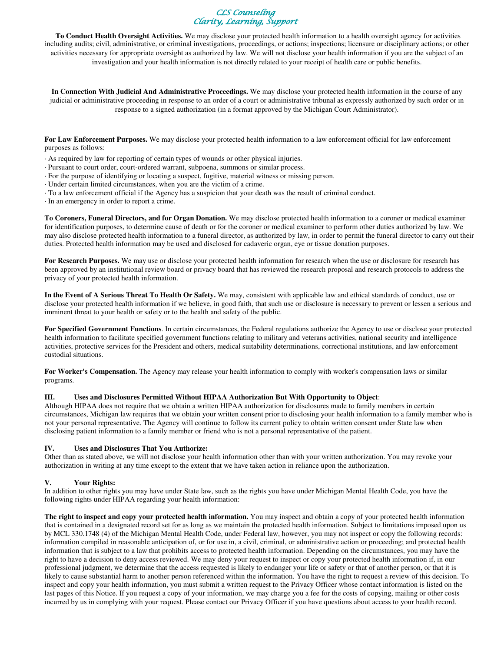

**To Conduct Health Oversight Activities.** We may disclose your protected health information to a health oversight agency for activities including audits; civil, administrative, or criminal investigations, proceedings, or actions; inspections; licensure or disciplinary actions; or other activities necessary for appropriate oversight as authorized by law. We will not disclose your health information if you are the subject of an investigation and your health information is not directly related to your receipt of health care or public benefits.

**In Connection With Judicial And Administrative Proceedings.** We may disclose your protected health information in the course of any judicial or administrative proceeding in response to an order of a court or administrative tribunal as expressly authorized by such order or in response to a signed authorization (in a format approved by the Michigan Court Administrator).

**For Law Enforcement Purposes.** We may disclose your protected health information to a law enforcement official for law enforcement purposes as follows:

- · As required by law for reporting of certain types of wounds or other physical injuries.
- · Pursuant to court order, court-ordered warrant, subpoena, summons or similar process.
- · For the purpose of identifying or locating a suspect, fugitive, material witness or missing person.
- · Under certain limited circumstances, when you are the victim of a crime.
- · To a law enforcement official if the Agency has a suspicion that your death was the result of criminal conduct.
- · In an emergency in order to report a crime.

**To Coroners, Funeral Directors, and for Organ Donation.** We may disclose protected health information to a coroner or medical examiner for identification purposes, to determine cause of death or for the coroner or medical examiner to perform other duties authorized by law. We may also disclose protected health information to a funeral director, as authorized by law, in order to permit the funeral director to carry out their duties. Protected health information may be used and disclosed for cadaveric organ, eye or tissue donation purposes.

**For Research Purposes.** We may use or disclose your protected health information for research when the use or disclosure for research has been approved by an institutional review board or privacy board that has reviewed the research proposal and research protocols to address the privacy of your protected health information.

**In the Event of A Serious Threat To Health Or Safety.** We may, consistent with applicable law and ethical standards of conduct, use or disclose your protected health information if we believe, in good faith, that such use or disclosure is necessary to prevent or lessen a serious and imminent threat to your health or safety or to the health and safety of the public.

**For Specified Government Functions**. In certain circumstances, the Federal regulations authorize the Agency to use or disclose your protected health information to facilitate specified government functions relating to military and veterans activities, national security and intelligence activities, protective services for the President and others, medical suitability determinations, correctional institutions, and law enforcement custodial situations.

**For Worker's Compensation.** The Agency may release your health information to comply with worker's compensation laws or similar programs.

#### **III. Uses and Disclosures Permitted Without HIPAA Authorization But With Opportunity to Object**:

Although HIPAA does not require that we obtain a written HIPAA authorization for disclosures made to family members in certain circumstances, Michigan law requires that we obtain your written consent prior to disclosing your health information to a family member who is not your personal representative. The Agency will continue to follow its current policy to obtain written consent under State law when disclosing patient information to a family member or friend who is not a personal representative of the patient.

#### **IV. Uses and Disclosures That You Authorize:**

Other than as stated above, we will not disclose your health information other than with your written authorization. You may revoke your authorization in writing at any time except to the extent that we have taken action in reliance upon the authorization.

#### **V. Your Rights:**

In addition to other rights you may have under State law, such as the rights you have under Michigan Mental Health Code, you have the following rights under HIPAA regarding your health information:

**The right to inspect and copy your protected health information.** You may inspect and obtain a copy of your protected health information that is contained in a designated record set for as long as we maintain the protected health information. Subject to limitations imposed upon us by MCL 330.1748 (4) of the Michigan Mental Health Code, under Federal law, however, you may not inspect or copy the following records: information compiled in reasonable anticipation of, or for use in, a civil, criminal, or administrative action or proceeding; and protected health information that is subject to a law that prohibits access to protected health information. Depending on the circumstances, you may have the right to have a decision to deny access reviewed. We may deny your request to inspect or copy your protected health information if, in our professional judgment, we determine that the access requested is likely to endanger your life or safety or that of another person, or that it is likely to cause substantial harm to another person referenced within the information. You have the right to request a review of this decision. To inspect and copy your health information, you must submit a written request to the Privacy Officer whose contact information is listed on the last pages of this Notice. If you request a copy of your information, we may charge you a fee for the costs of copying, mailing or other costs incurred by us in complying with your request. Please contact our Privacy Officer if you have questions about access to your health record.